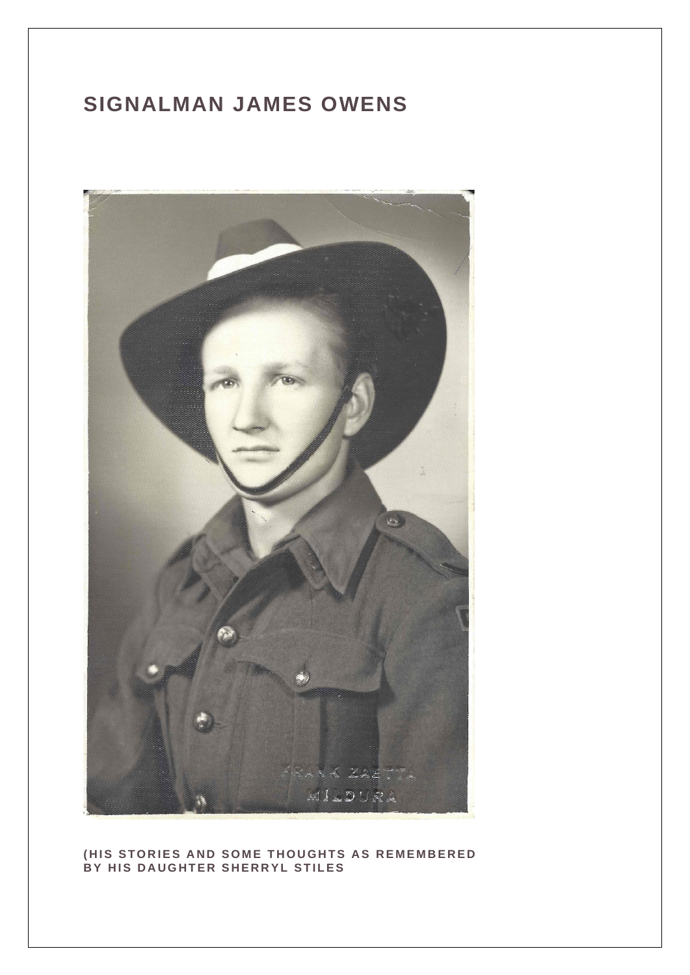#### **SIGNALMAN JAMES OWENS**



#### **(HIS STORIES AND SOME THOUGHTS AS REMEMBERED BY HIS DAUGHTER SHERRYL STILES**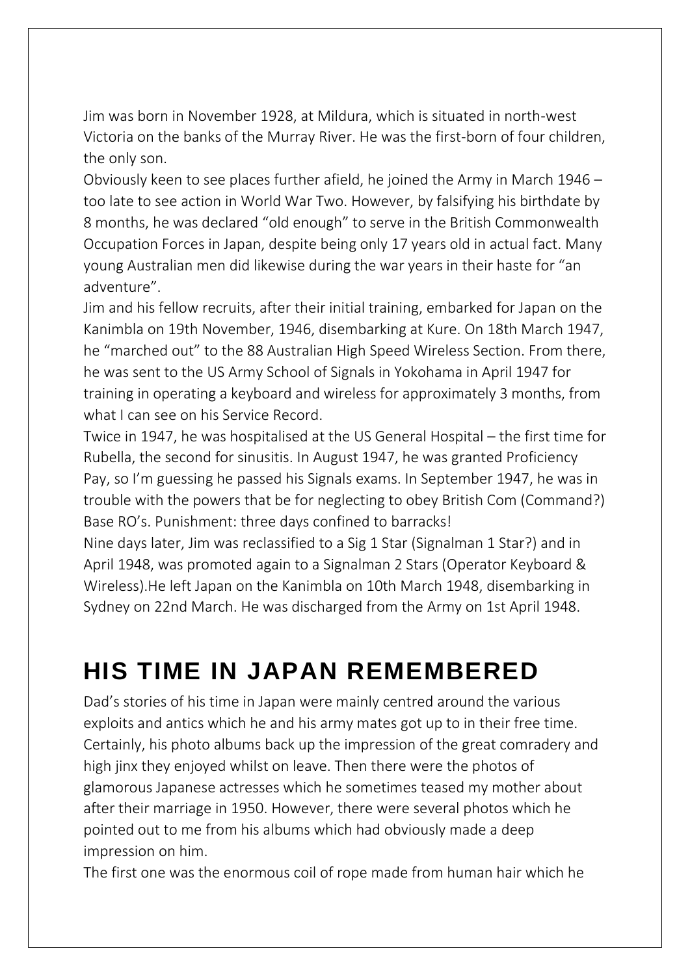Jim was born in November 1928, at Mildura, which is situated in north-west Victoria on the banks of the Murray River. He was the first-born of four children, the only son.

Obviously keen to see places further afield, he joined the Army in March 1946 – too late to see action in World War Two. However, by falsifying his birthdate by 8 months, he was declared "old enough" to serve in the British Commonwealth Occupation Forces in Japan, despite being only 17 years old in actual fact. Many young Australian men did likewise during the war years in their haste for "an adventure".

Jim and his fellow recruits, after their initial training, embarked for Japan on the Kanimbla on 19th November, 1946, disembarking at Kure. On 18th March 1947, he "marched out" to the 88 Australian High Speed Wireless Section. From there, he was sent to the US Army School of Signals in Yokohama in April 1947 for training in operating a keyboard and wireless for approximately 3 months, from what I can see on his Service Record.

Twice in 1947, he was hospitalised at the US General Hospital – the first time for Rubella, the second for sinusitis. In August 1947, he was granted Proficiency Pay, so I'm guessing he passed his Signals exams. In September 1947, he was in trouble with the powers that be for neglecting to obey British Com (Command?) Base RO's. Punishment: three days confined to barracks!

Nine days later, Jim was reclassified to a Sig 1 Star (Signalman 1 Star?) and in April 1948, was promoted again to a Signalman 2 Stars (Operator Keyboard & Wireless).He left Japan on the Kanimbla on 10th March 1948, disembarking in Sydney on 22nd March. He was discharged from the Army on 1st April 1948.

## **HIS TIME IN JAPAN REMEMBERED**

Dad's stories of his time in Japan were mainly centred around the various exploits and antics which he and his army mates got up to in their free time. Certainly, his photo albums back up the impression of the great comradery and high jinx they enjoyed whilst on leave. Then there were the photos of glamorous Japanese actresses which he sometimes teased my mother about after their marriage in 1950. However, there were several photos which he pointed out to me from his albums which had obviously made a deep impression on him.

The first one was the enormous coil of rope made from human hair which he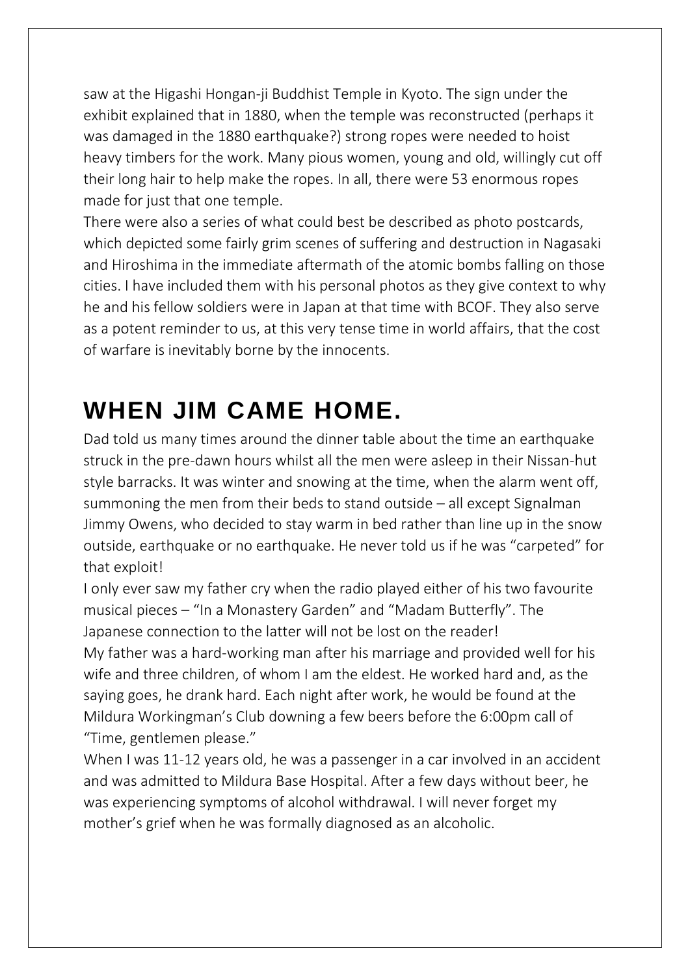saw at the Higashi Hongan-ji Buddhist Temple in Kyoto. The sign under the exhibit explained that in 1880, when the temple was reconstructed (perhaps it was damaged in the 1880 earthquake?) strong ropes were needed to hoist heavy timbers for the work. Many pious women, young and old, willingly cut off their long hair to help make the ropes. In all, there were 53 enormous ropes made for just that one temple.

There were also a series of what could best be described as photo postcards, which depicted some fairly grim scenes of suffering and destruction in Nagasaki and Hiroshima in the immediate aftermath of the atomic bombs falling on those cities. I have included them with his personal photos as they give context to why he and his fellow soldiers were in Japan at that time with BCOF. They also serve as a potent reminder to us, at this very tense time in world affairs, that the cost of warfare is inevitably borne by the innocents.

# **WHEN JIM CAME HOME.**

Dad told us many times around the dinner table about the time an earthquake struck in the pre-dawn hours whilst all the men were asleep in their Nissan-hut style barracks. It was winter and snowing at the time, when the alarm went off, summoning the men from their beds to stand outside – all except Signalman Jimmy Owens, who decided to stay warm in bed rather than line up in the snow outside, earthquake or no earthquake. He never told us if he was "carpeted" for that exploit!

I only ever saw my father cry when the radio played either of his two favourite musical pieces – "In a Monastery Garden" and "Madam Butterfly". The Japanese connection to the latter will not be lost on the reader! My father was a hard-working man after his marriage and provided well for his wife and three children, of whom I am the eldest. He worked hard and, as the saying goes, he drank hard. Each night after work, he would be found at the Mildura Workingman's Club downing a few beers before the 6:00pm call of "Time, gentlemen please."

When I was 11-12 years old, he was a passenger in a car involved in an accident and was admitted to Mildura Base Hospital. After a few days without beer, he was experiencing symptoms of alcohol withdrawal. I will never forget my mother's grief when he was formally diagnosed as an alcoholic.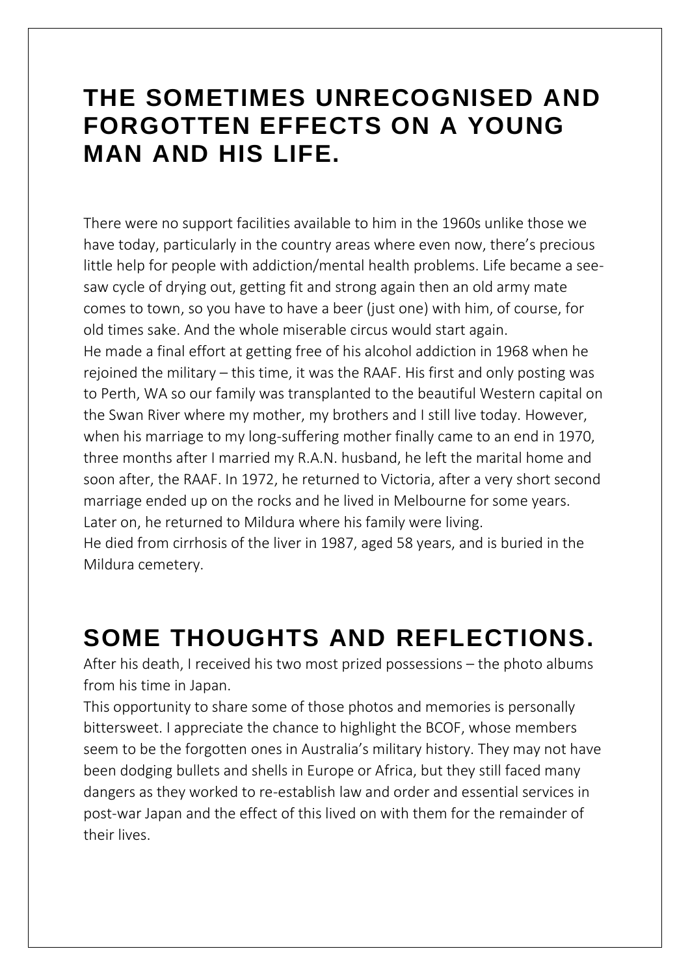#### **THE SOMETIMES UNRECOGNISED AND FORGOTTEN EFFECTS ON A YOUNG MAN AND HIS LIFE.**

There were no support facilities available to him in the 1960s unlike those we have today, particularly in the country areas where even now, there's precious little help for people with addiction/mental health problems. Life became a seesaw cycle of drying out, getting fit and strong again then an old army mate comes to town, so you have to have a beer (just one) with him, of course, for old times sake. And the whole miserable circus would start again. He made a final effort at getting free of his alcohol addiction in 1968 when he rejoined the military – this time, it was the RAAF. His first and only posting was to Perth, WA so our family was transplanted to the beautiful Western capital on the Swan River where my mother, my brothers and I still live today. However, when his marriage to my long-suffering mother finally came to an end in 1970, three months after I married my R.A.N. husband, he left the marital home and soon after, the RAAF. In 1972, he returned to Victoria, after a very short second marriage ended up on the rocks and he lived in Melbourne for some years. Later on, he returned to Mildura where his family were living. He died from cirrhosis of the liver in 1987, aged 58 years, and is buried in the Mildura cemetery.

## **SOME THOUGHTS AND REFLECTIONS.**

After his death, I received his two most prized possessions – the photo albums from his time in Japan.

This opportunity to share some of those photos and memories is personally bittersweet. I appreciate the chance to highlight the BCOF, whose members seem to be the forgotten ones in Australia's military history. They may not have been dodging bullets and shells in Europe or Africa, but they still faced many dangers as they worked to re-establish law and order and essential services in post-war Japan and the effect of this lived on with them for the remainder of their lives.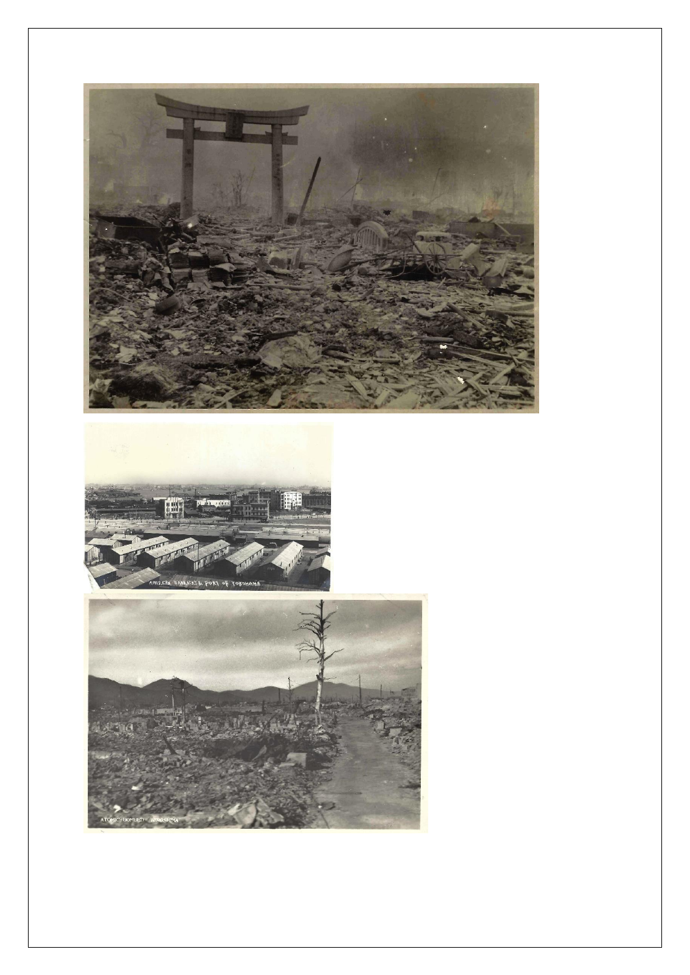